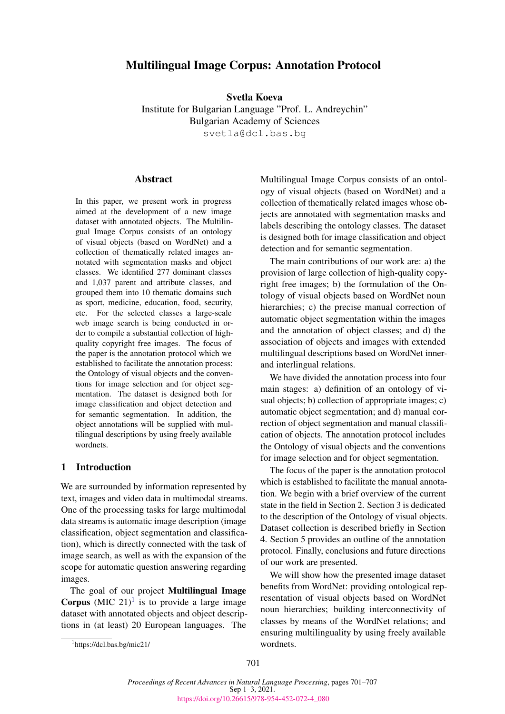# Multilingual Image Corpus: Annotation Protocol

Svetla Koeva Institute for Bulgarian Language "Prof. L. Andreychin" Bulgarian Academy of Sciences svetla@dcl.bas.bg

# **Abstract**

In this paper, we present work in progress aimed at the development of a new image dataset with annotated objects. The Multilingual Image Corpus consists of an ontology of visual objects (based on WordNet) and a collection of thematically related images annotated with segmentation masks and object classes. We identified 277 dominant classes and 1,037 parent and attribute classes, and grouped them into 10 thematic domains such as sport, medicine, education, food, security, etc. For the selected classes a large-scale web image search is being conducted in order to compile a substantial collection of highquality copyright free images. The focus of the paper is the annotation protocol which we established to facilitate the annotation process: the Ontology of visual objects and the conventions for image selection and for object segmentation. The dataset is designed both for image classification and object detection and for semantic segmentation. In addition, the object annotations will be supplied with multilingual descriptions by using freely available wordnets.

#### 1 Introduction

We are surrounded by information represented by text, images and video data in multimodal streams. One of the processing tasks for large multimodal data streams is automatic image description (image classification, object segmentation and classification), which is directly connected with the task of image search, as well as with the expansion of the scope for automatic question answering regarding images.

The goal of our project Multilingual Image **Corpus** (MIC 2[1](#page-0-0))<sup>1</sup> is to provide a large image dataset with annotated objects and object descriptions in (at least) 20 European languages. The

The main contributions of our work are: a) the provision of large collection of high-quality copyright free images; b) the formulation of the Ontology of visual objects based on WordNet noun hierarchies; c) the precise manual correction of automatic object segmentation within the images and the annotation of object classes; and d) the association of objects and images with extended multilingual descriptions based on WordNet innerand interlingual relations.

We have divided the annotation process into four main stages: a) definition of an ontology of visual objects; b) collection of appropriate images; c) automatic object segmentation; and d) manual correction of object segmentation and manual classification of objects. The annotation protocol includes the Ontology of visual objects and the conventions for image selection and for object segmentation.

The focus of the paper is the annotation protocol which is established to facilitate the manual annotation. We begin with a brief overview of the current state in the field in Section 2. Section 3 is dedicated to the description of the Ontology of visual objects. Dataset collection is described briefly in Section 4. Section 5 provides an outline of the annotation protocol. Finally, conclusions and future directions of our work are presented.

We will show how the presented image dataset benefits from WordNet: providing ontological representation of visual objects based on WordNet noun hierarchies; building interconnectivity of classes by means of the WordNet relations; and ensuring multilinguality by using freely available wordnets.

Multilingual Image Corpus consists of an ontology of visual objects (based on WordNet) and a collection of thematically related images whose objects are annotated with segmentation masks and labels describing the ontology classes. The dataset is designed both for image classification and object detection and for semantic segmentation.

<span id="page-0-0"></span><sup>1</sup> https://dcl.bas.bg/mic21/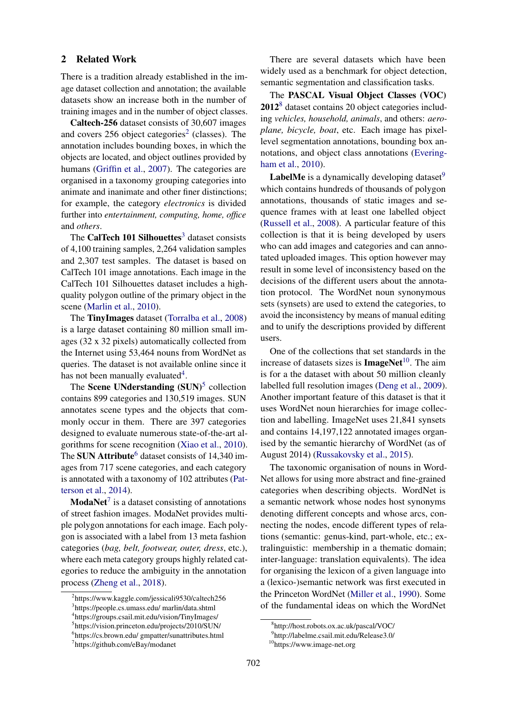#### 2 Related Work

There is a tradition already established in the image dataset collection and annotation; the available datasets show an increase both in the number of training images and in the number of object classes.

Caltech-256 dataset consists of 30,607 images and covers  $256$  $256$  object categories<sup>2</sup> (classes). The annotation includes bounding boxes, in which the objects are located, and object outlines provided by humans [\(Griffin et al.,](#page-6-0) [2007\)](#page-6-0). The categories are organised in a taxonomy grouping categories into animate and inanimate and other finer distinctions; for example, the category *electronics* is divided further into *entertainment, computing, home, office* and *others*.

The CalTech 101 Silhouettes $3$  dataset consists of 4,100 training samples, 2,264 validation samples and 2,307 test samples. The dataset is based on CalTech 101 image annotations. Each image in the CalTech 101 Silhouettes dataset includes a highquality polygon outline of the primary object in the scene [\(Marlin et al.,](#page-6-1) [2010\)](#page-6-1).

The TinyImages dataset [\(Torralba et al.,](#page-6-2) [2008\)](#page-6-2) is a large dataset containing 80 million small images (32 x 32 pixels) automatically collected from the Internet using 53,464 nouns from WordNet as queries. The dataset is not available online since it has not been manually evaluated<sup>[4](#page-1-2)</sup>.

The Scene UNderstanding (SUN)<sup>[5](#page-1-3)</sup> collection contains 899 categories and 130,519 images. SUN annotates scene types and the objects that commonly occur in them. There are 397 categories designed to evaluate numerous state-of-the-art algorithms for scene recognition [\(Xiao et al.,](#page-6-3) [2010\)](#page-6-3). The SUN Attribute<sup>[6](#page-1-4)</sup> dataset consists of  $14,340$  images from 717 scene categories, and each category is annotated with a taxonomy of 102 attributes [\(Pat](#page-6-4)[terson et al.,](#page-6-4) [2014\)](#page-6-4).

**ModaNet**<sup>[7](#page-1-5)</sup> is a dataset consisting of annotations of street fashion images. ModaNet provides multiple polygon annotations for each image. Each polygon is associated with a label from 13 meta fashion categories (*bag, belt, footwear, outer, dress*, etc.), where each meta category groups highly related categories to reduce the ambiguity in the annotation process [\(Zheng et al.,](#page-6-5) [2018\)](#page-6-5).

There are several datasets which have been widely used as a benchmark for object detection, semantic segmentation and classification tasks.

The PASCAL Visual Object Classes (VOC) 2012[8](#page-1-6) dataset contains 20 object categories including *vehicles, household, animals*, and others: *aeroplane, bicycle, boat*, etc. Each image has pixellevel segmentation annotations, bounding box annotations, and object class annotations [\(Evering](#page-6-6)[ham et al.,](#page-6-6) [2010\)](#page-6-6).

**LabelMe** is a dynamically developing dataset $9$ which contains hundreds of thousands of polygon annotations, thousands of static images and sequence frames with at least one labelled object [\(Russell et al.,](#page-6-7) [2008\)](#page-6-7). A particular feature of this collection is that it is being developed by users who can add images and categories and can annotated uploaded images. This option however may result in some level of inconsistency based on the decisions of the different users about the annotation protocol. The WordNet noun synonymous sets (synsets) are used to extend the categories, to avoid the inconsistency by means of manual editing and to unify the descriptions provided by different users.

One of the collections that set standards in the increase of datasets sizes is  $ImageNet<sup>10</sup>$  $ImageNet<sup>10</sup>$  $ImageNet<sup>10</sup>$ . The aim is for a the dataset with about 50 million cleanly labelled full resolution images [\(Deng et al.,](#page-6-8) [2009\)](#page-6-8). Another important feature of this dataset is that it uses WordNet noun hierarchies for image collection and labelling. ImageNet uses 21,841 synsets and contains 14,197,122 annotated images organised by the semantic hierarchy of WordNet (as of August 2014) [\(Russakovsky et al.,](#page-6-9) [2015\)](#page-6-9).

The taxonomic organisation of nouns in Word-Net allows for using more abstract and fine-grained categories when describing objects. WordNet is a semantic network whose nodes host synonyms denoting different concepts and whose arcs, connecting the nodes, encode different types of relations (semantic: genus-kind, part-whole, etc.; extralinguistic: membership in a thematic domain; inter-language: translation equivalents). The idea for organising the lexicon of a given language into a (lexico-)semantic network was first executed in the Princeton WordNet [\(Miller et al.,](#page-6-10) [1990\)](#page-6-10). Some of the fundamental ideas on which the WordNet

<span id="page-1-1"></span><span id="page-1-0"></span><sup>&</sup>lt;sup>2</sup>https://www.kaggle.com/jessicali9530/caltech256 3 https://people.cs.umass.edu/ marlin/data.shtml

<span id="page-1-2"></span><sup>4</sup> https://groups.csail.mit.edu/vision/TinyImages/

<span id="page-1-4"></span><span id="page-1-3"></span><sup>5</sup> https://vision.princeton.edu/projects/2010/SUN/ 6 https://cs.brown.edu/ gmpatter/sunattributes.html

<span id="page-1-5"></span><sup>7</sup> https://github.com/eBay/modanet

<span id="page-1-6"></span><sup>8</sup> http://host.robots.ox.ac.uk/pascal/VOC/

<span id="page-1-7"></span><sup>9</sup> http://labelme.csail.mit.edu/Release3.0/

<span id="page-1-8"></span><sup>10</sup>https://www.image-net.org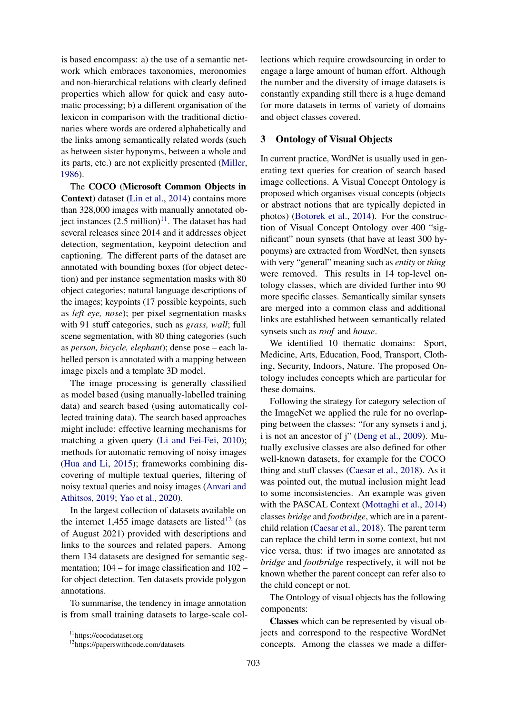is based encompass: a) the use of a semantic network which embraces taxonomies, meronomies and non-hierarchical relations with clearly defined properties which allow for quick and easy automatic processing; b) a different organisation of the lexicon in comparison with the traditional dictionaries where words are ordered alphabetically and the links among semantically related words (such as between sister hyponyms, between a whole and its parts, etc.) are not explicitly presented [\(Miller,](#page-6-11) [1986\)](#page-6-11).

The COCO (Microsoft Common Objects in Context) dataset [\(Lin et al.,](#page-6-12) [2014\)](#page-6-12) contains more than 328,000 images with manually annotated object instances  $(2.5 \text{ million})^{11}$  $(2.5 \text{ million})^{11}$  $(2.5 \text{ million})^{11}$ . The dataset has had several releases since 2014 and it addresses object detection, segmentation, keypoint detection and captioning. The different parts of the dataset are annotated with bounding boxes (for object detection) and per instance segmentation masks with 80 object categories; natural language descriptions of the images; keypoints (17 possible keypoints, such as *left eye, nose*); per pixel segmentation masks with 91 stuff categories, such as *grass, wall*; full scene segmentation, with 80 thing categories (such as *person, bicycle, elephant*); dense pose – each labelled person is annotated with a mapping between image pixels and a template 3D model.

The image processing is generally classified as model based (using manually-labelled training data) and search based (using automatically collected training data). The search based approaches might include: effective learning mechanisms for matching a given query [\(Li and Fei-Fei,](#page-6-13) [2010\)](#page-6-13); methods for automatic removing of noisy images [\(Hua and Li,](#page-6-14) [2015\)](#page-6-14); frameworks combining discovering of multiple textual queries, filtering of noisy textual queries and noisy images [\(Anvari and](#page-5-0) [Athitsos,](#page-5-0) [2019;](#page-5-0) [Yao et al.,](#page-6-15) [2020\)](#page-6-15).

In the largest collection of datasets available on the internet 1,455 image datasets are listed<sup>[12](#page-2-1)</sup> (as of August 2021) provided with descriptions and links to the sources and related papers. Among them 134 datasets are designed for semantic segmentation; 104 – for image classification and 102 – for object detection. Ten datasets provide polygon annotations.

To summarise, the tendency in image annotation is from small training datasets to large-scale col-

lections which require crowdsourcing in order to engage a large amount of human effort. Although the number and the diversity of image datasets is constantly expanding still there is a huge demand for more datasets in terms of variety of domains and object classes covered.

#### 3 Ontology of Visual Objects

In current practice, WordNet is usually used in generating text queries for creation of search based image collections. A Visual Concept Ontology is proposed which organises visual concepts (objects or abstract notions that are typically depicted in photos) [\(Botorek et al.,](#page-6-16) [2014\)](#page-6-16). For the construction of Visual Concept Ontology over 400 "significant" noun synsets (that have at least 300 hyponyms) are extracted from WordNet, then synsets with very "general" meaning such as *entity* or *thing* were removed. This results in 14 top-level ontology classes, which are divided further into 90 more specific classes. Semantically similar synsets are merged into a common class and additional links are established between semantically related synsets such as *roof* and *house*.

We identified 10 thematic domains: Sport, Medicine, Arts, Education, Food, Transport, Clothing, Security, Indoors, Nature. The proposed Ontology includes concepts which are particular for these domains.

Following the strategy for category selection of the ImageNet we applied the rule for no overlapping between the classes: "for any synsets i and j, i is not an ancestor of j" [\(Deng et al.,](#page-6-8) [2009\)](#page-6-8). Mutually exclusive classes are also defined for other well-known datasets, for example for the COCO thing and stuff classes [\(Caesar et al.,](#page-6-17) [2018\)](#page-6-17). As it was pointed out, the mutual inclusion might lead to some inconsistencies. An example was given with the PASCAL Context [\(Mottaghi et al.,](#page-6-18) [2014\)](#page-6-18) classes *bridge* and *footbridge*, which are in a parentchild relation [\(Caesar et al.,](#page-6-17) [2018\)](#page-6-17). The parent term can replace the child term in some context, but not vice versa, thus: if two images are annotated as *bridge* and *footbridge* respectively, it will not be known whether the parent concept can refer also to the child concept or not.

The Ontology of visual objects has the following components:

Classes which can be represented by visual objects and correspond to the respective WordNet concepts. Among the classes we made a differ-

<span id="page-2-0"></span><sup>11</sup>https://cocodataset.org

<span id="page-2-1"></span><sup>12</sup>https://paperswithcode.com/datasets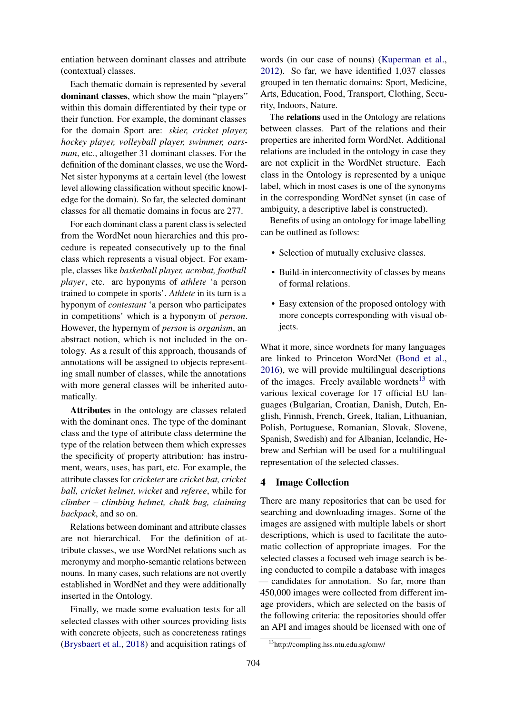entiation between dominant classes and attribute (contextual) classes.

Each thematic domain is represented by several dominant classes, which show the main "players" within this domain differentiated by their type or their function. For example, the dominant classes for the domain Sport are: *skier, cricket player, hockey player, volleyball player, swimmer, oarsman*, etc., altogether 31 dominant classes. For the definition of the dominant classes, we use the Word-Net sister hyponyms at a certain level (the lowest level allowing classification without specific knowledge for the domain). So far, the selected dominant classes for all thematic domains in focus are 277.

For each dominant class a parent class is selected from the WordNet noun hierarchies and this procedure is repeated consecutively up to the final class which represents a visual object. For example, classes like *basketball player, acrobat, football player*, etc. are hyponyms of *athlete* 'a person trained to compete in sports'. *Athlete* in its turn is a hyponym of *contestant* 'a person who participates in competitions' which is a hyponym of *person*. However, the hypernym of *person* is *organism*, an abstract notion, which is not included in the ontology. As a result of this approach, thousands of annotations will be assigned to objects representing small number of classes, while the annotations with more general classes will be inherited automatically.

Attributes in the ontology are classes related with the dominant ones. The type of the dominant class and the type of attribute class determine the type of the relation between them which expresses the specificity of property attribution: has instrument, wears, uses, has part, etc. For example, the attribute classes for *cricketer* are *cricket bat, cricket ball, cricket helmet, wicket* and *referee*, while for *climber* – *climbing helmet, chalk bag, claiming backpack*, and so on.

Relations between dominant and attribute classes are not hierarchical. For the definition of attribute classes, we use WordNet relations such as meronymy and morpho-semantic relations between nouns. In many cases, such relations are not overtly established in WordNet and they were additionally inserted in the Ontology.

Finally, we made some evaluation tests for all selected classes with other sources providing lists with concrete objects, such as concreteness ratings [\(Brysbaert et al.,](#page-6-19) [2018\)](#page-6-19) and acquisition ratings of words (in our case of nouns) [\(Kuperman et al.,](#page-6-20) [2012\)](#page-6-20). So far, we have identified 1,037 classes grouped in ten thematic domains: Sport, Medicine, Arts, Education, Food, Transport, Clothing, Security, Indoors, Nature.

The relations used in the Ontology are relations between classes. Part of the relations and their properties are inherited form WordNet. Additional relations are included in the ontology in case they are not explicit in the WordNet structure. Each class in the Ontology is represented by a unique label, which in most cases is one of the synonyms in the corresponding WordNet synset (in case of ambiguity, a descriptive label is constructed).

Benefits of using an ontology for image labelling can be outlined as follows:

- Selection of mutually exclusive classes.
- Build-in interconnectivity of classes by means of formal relations.
- Easy extension of the proposed ontology with more concepts corresponding with visual objects.

What it more, since wordnets for many languages are linked to Princeton WordNet [\(Bond et al.,](#page-6-21) [2016\)](#page-6-21), we will provide multilingual descriptions of the images. Freely available wordnets<sup>[13](#page-3-0)</sup> with various lexical coverage for 17 official EU languages (Bulgarian, Croatian, Danish, Dutch, English, Finnish, French, Greek, Italian, Lithuanian, Polish, Portuguese, Romanian, Slovak, Slovene, Spanish, Swedish) and for Albanian, Icelandic, Hebrew and Serbian will be used for a multilingual representation of the selected classes.

# 4 Image Collection

There are many repositories that can be used for searching and downloading images. Some of the images are assigned with multiple labels or short descriptions, which is used to facilitate the automatic collection of appropriate images. For the selected classes a focused web image search is being conducted to compile a database with images — candidates for annotation. So far, more than 450,000 images were collected from different image providers, which are selected on the basis of the following criteria: the repositories should offer an API and images should be licensed with one of

<span id="page-3-0"></span><sup>13</sup>http://compling.hss.ntu.edu.sg/omw/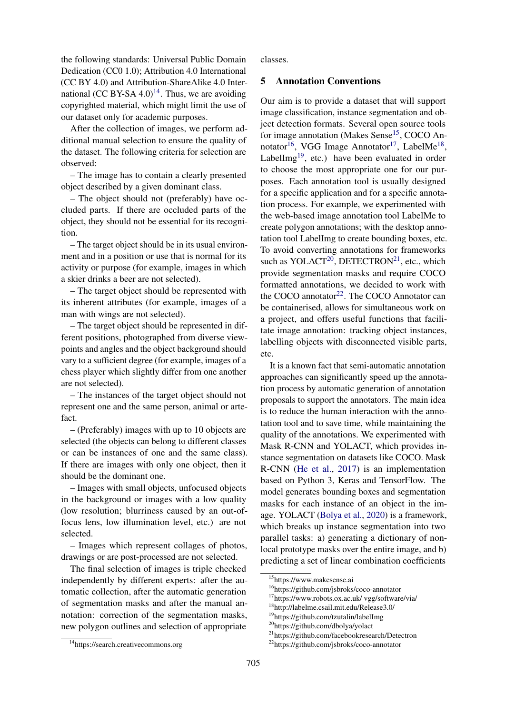the following standards: Universal Public Domain Dedication (CC0 1.0); Attribution 4.0 International (CC BY 4.0) and Attribution-ShareAlike 4.0 Inter-national (CC BY-SA 4.0)<sup>[14](#page-4-0)</sup>. Thus, we are avoiding copyrighted material, which might limit the use of our dataset only for academic purposes.

After the collection of images, we perform additional manual selection to ensure the quality of the dataset. The following criteria for selection are observed:

– The image has to contain a clearly presented object described by a given dominant class.

– The object should not (preferably) have occluded parts. If there are occluded parts of the object, they should not be essential for its recognition.

– The target object should be in its usual environment and in a position or use that is normal for its activity or purpose (for example, images in which a skier drinks a beer are not selected).

– The target object should be represented with its inherent attributes (for example, images of a man with wings are not selected).

– The target object should be represented in different positions, photographed from diverse viewpoints and angles and the object background should vary to a sufficient degree (for example, images of a chess player which slightly differ from one another are not selected).

– The instances of the target object should not represent one and the same person, animal or artefact.

– (Preferably) images with up to 10 objects are selected (the objects can belong to different classes or can be instances of one and the same class). If there are images with only one object, then it should be the dominant one.

– Images with small objects, unfocused objects in the background or images with a low quality (low resolution; blurriness caused by an out-offocus lens, low illumination level, etc.) are not selected.

– Images which represent collages of photos, drawings or are post-processed are not selected.

The final selection of images is triple checked independently by different experts: after the automatic collection, after the automatic generation of segmentation masks and after the manual annotation: correction of the segmentation masks, new polygon outlines and selection of appropriate

<span id="page-4-0"></span><sup>14</sup>https://search.creativecommons.org

classes.

# 5 Annotation Conventions

Our aim is to provide a dataset that will support image classification, instance segmentation and object detection formats. Several open source tools for image annotation (Makes Sense<sup>[15](#page-4-1)</sup>, COCO An-notator<sup>[16](#page-4-2)</sup>, VGG Image Annotator<sup>[17](#page-4-3)</sup>, LabelMe<sup>[18](#page-4-4)</sup>, LabelImg<sup>[19](#page-4-5)</sup>, etc.) have been evaluated in order to choose the most appropriate one for our purposes. Each annotation tool is usually designed for a specific application and for a specific annotation process. For example, we experimented with the web-based image annotation tool LabelMe to create polygon annotations; with the desktop annotation tool LabelImg to create bounding boxes, etc. To avoid converting annotations for frameworks such as YOLACT<sup>[20](#page-4-6)</sup>, DETECTRON<sup>[21](#page-4-7)</sup>, etc., which provide segmentation masks and require COCO formatted annotations, we decided to work with the COCO annotator<sup>[22](#page-4-8)</sup>. The COCO Annotator can be containerised, allows for simultaneous work on a project, and offers useful functions that facilitate image annotation: tracking object instances, labelling objects with disconnected visible parts, etc.

It is a known fact that semi-automatic annotation approaches can significantly speed up the annotation process by automatic generation of annotation proposals to support the annotators. The main idea is to reduce the human interaction with the annotation tool and to save time, while maintaining the quality of the annotations. We experimented with Mask R-CNN and YOLACT, which provides instance segmentation on datasets like COCO. Mask R-CNN [\(He et al.,](#page-6-22) [2017\)](#page-6-22) is an implementation based on Python 3, Keras and TensorFlow. The model generates bounding boxes and segmentation masks for each instance of an object in the image. YOLACT [\(Bolya et al.,](#page-5-1) [2020\)](#page-5-1) is a framework, which breaks up instance segmentation into two parallel tasks: a) generating a dictionary of nonlocal prototype masks over the entire image, and b) predicting a set of linear combination coefficients

<span id="page-4-1"></span><sup>15</sup>https://www.makesense.ai

<span id="page-4-2"></span><sup>16</sup>https://github.com/jsbroks/coco-annotator

<span id="page-4-3"></span><sup>17</sup>https://www.robots.ox.ac.uk/ vgg/software/via/

<span id="page-4-4"></span><sup>18</sup>http://labelme.csail.mit.edu/Release3.0/

<span id="page-4-5"></span><sup>19</sup>https://github.com/tzutalin/labelImg

<span id="page-4-6"></span><sup>20</sup>https://github.com/dbolya/yolact

<span id="page-4-7"></span><sup>21</sup>https://github.com/facebookresearch/Detectron

<span id="page-4-8"></span><sup>22</sup>https://github.com/jsbroks/coco-annotator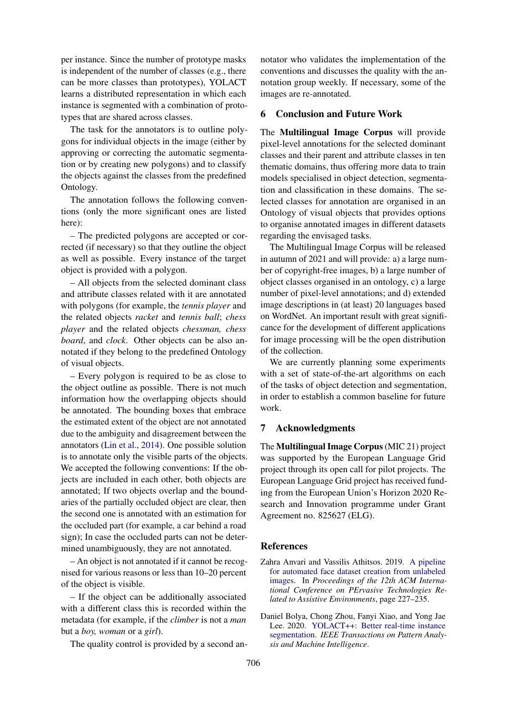per instance. Since the number of prototype masks is independent of the number of classes (e.g., there can be more classes than prototypes), YOLACT learns a distributed representation in which each instance is segmented with a combination of prototypes that are shared across classes.

The task for the annotators is to outline polygons for individual objects in the image (either by approving or correcting the automatic segmentation or by creating new polygons) and to classify the objects against the classes from the predefined Ontology.

The annotation follows the following conventions (only the more significant ones are listed here):

– The predicted polygons are accepted or corrected (if necessary) so that they outline the object as well as possible. Every instance of the target object is provided with a polygon.

– All objects from the selected dominant class and attribute classes related with it are annotated with polygons (for example, the *tennis player* and the related objects *racket* and *tennis ball*; *chess player* and the related objects *chessman, chess board*, and *clock*. Other objects can be also annotated if they belong to the predefined Ontology of visual objects.

– Every polygon is required to be as close to the object outline as possible. There is not much information how the overlapping objects should be annotated. The bounding boxes that embrace the estimated extent of the object are not annotated due to the ambiguity and disagreement between the annotators [\(Lin et al.,](#page-6-12) [2014\)](#page-6-12). One possible solution is to annotate only the visible parts of the objects. We accepted the following conventions: If the objects are included in each other, both objects are annotated; If two objects overlap and the boundaries of the partially occluded object are clear, then the second one is annotated with an estimation for the occluded part (for example, a car behind a road sign); In case the occluded parts can not be determined unambiguously, they are not annotated.

– An object is not annotated if it cannot be recognised for various reasons or less than 10–20 percent of the object is visible.

– If the object can be additionally associated with a different class this is recorded within the metadata (for example, if the *climber* is not a *man* but a *boy, woman* or a *girl*).

The quality control is provided by a second an-

notator who validates the implementation of the conventions and discusses the quality with the annotation group weekly. If necessary, some of the images are re-annotated.

## 6 Conclusion and Future Work

The Multilingual Image Corpus will provide pixel-level annotations for the selected dominant classes and their parent and attribute classes in ten thematic domains, thus offering more data to train models specialised in object detection, segmentation and classification in these domains. The selected classes for annotation are organised in an Ontology of visual objects that provides options to organise annotated images in different datasets regarding the envisaged tasks.

The Multilingual Image Corpus will be released in autumn of 2021 and will provide: a) a large number of copyright-free images, b) a large number of object classes organised in an ontology, c) a large number of pixel-level annotations; and d) extended image descriptions in (at least) 20 languages based on WordNet. An important result with great significance for the development of different applications for image processing will be the open distribution of the collection.

We are currently planning some experiments with a set of state-of-the-art algorithms on each of the tasks of object detection and segmentation, in order to establish a common baseline for future work.

# 7 Acknowledgments

The Multilingual Image Corpus(MIC 21) project was supported by the European Language Grid project through its open call for pilot projects. The European Language Grid project has received funding from the European Union's Horizon 2020 Research and Innovation programme under Grant Agreement no. 825627 (ELG).

#### References

- <span id="page-5-0"></span>Zahra Anvari and Vassilis Athitsos. 2019. [A pipeline](https://doi.org/https://doi.org/10.1145/3316782.3321522) [for automated face dataset creation from unlabeled](https://doi.org/https://doi.org/10.1145/3316782.3321522) [images.](https://doi.org/https://doi.org/10.1145/3316782.3321522) In *Proceedings of the 12th ACM International Conference on PErvasive Technologies Related to Assistive Environments*, page 227–235.
- <span id="page-5-1"></span>Daniel Bolya, Chong Zhou, Fanyi Xiao, and Yong Jae Lee. 2020. [YOLACT++: Better real-time instance](https://ieeexplore.ieee.org/document/9159935) [segmentation.](https://ieeexplore.ieee.org/document/9159935) *IEEE Transactions on Pattern Analysis and Machine Intelligence*.